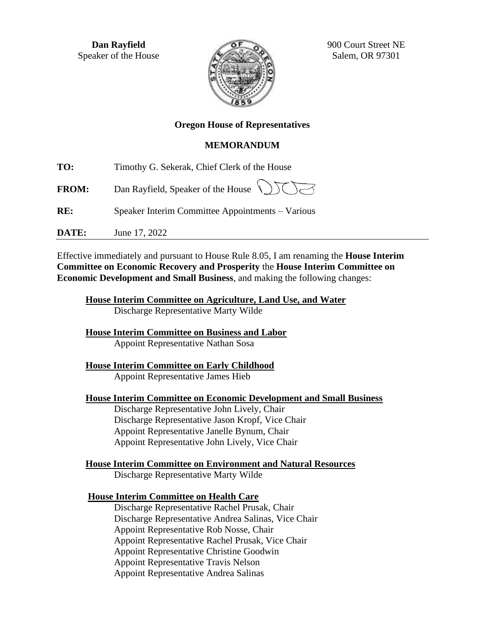**Dan Rayfield** Speaker of the House



900 Court Street NE Salem, OR 97301

# **Oregon House of Representatives**

## **MEMORANDUM**

**TO:** Timothy G. Sekerak, Chief Clerk of the House

**FROM:** Dan Rayfield, Speaker of the House

**RE:** Speaker Interim Committee Appointments – Various

**DATE:** June 17, 2022

Effective immediately and pursuant to House Rule 8.05, I am renaming the **House Interim Committee on Economic Recovery and Prosperity** the **House Interim Committee on Economic Development and Small Business**, and making the following changes:

**House Interim Committee on Agriculture, Land Use, and Water** Discharge Representative Marty Wilde

**House Interim Committee on Business and Labor** Appoint Representative Nathan Sosa

**House Interim Committee on Early Childhood** Appoint Representative James Hieb

**House Interim Committee on Economic Development and Small Business**

Discharge Representative John Lively, Chair Discharge Representative Jason Kropf, Vice Chair Appoint Representative Janelle Bynum, Chair Appoint Representative John Lively, Vice Chair

**House Interim Committee on Environment and Natural Resources** Discharge Representative Marty Wilde

**House Interim Committee on Health Care**

Discharge Representative Rachel Prusak, Chair Discharge Representative Andrea Salinas, Vice Chair Appoint Representative Rob Nosse, Chair Appoint Representative Rachel Prusak, Vice Chair Appoint Representative Christine Goodwin Appoint Representative Travis Nelson Appoint Representative Andrea Salinas